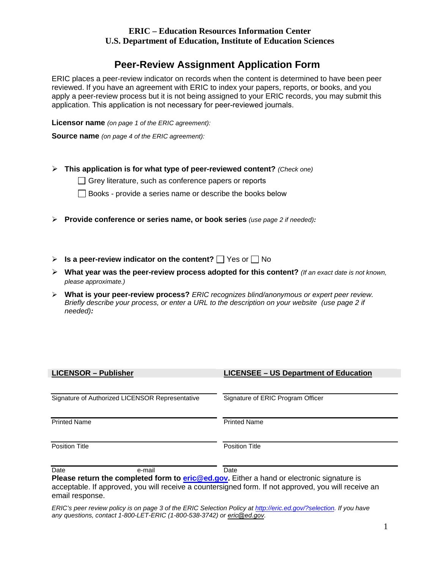## **ERIC – Education Resources Information Center U.S. Department of Education, Institute of Education Sciences**

## **Peer-Review Assignment Application Form**

 reviewed. If you have an agreement with ERIC to index your papers, reports, or books, and you application. This application is not necessary for peer-reviewed journals. ERIC places a peer-review indicator on records when the content is determined to have been peer apply a peer-review process but it is not being assigned to your ERIC records, you may submit this

**Licensor name** *(on page 1 of the ERIC agreement):*

**Source name** *(on page 4 of the ERIC agreement):*

**This application is for what type of peer-reviewed content?** *(Check one)*

 $\Box$  Grey literature, such as conference papers or reports

Books - provide a series name or describe the books below

- **Provide conference or series name, or book series** *(use page 2 if needed):*
- **Is a peer-review indicator on the content?**  $\Box$  Yes or  $\Box$  No
- **What year was the peer-review process adopted for this content?** *(If an exact date is not known, please approximate.)*
- **What is your peer-review process?** *ERIC recognizes blind/anonymous or expert peer review. Briefly describe your process, or enter a URL to the description on your website (use page 2 if needed):*

| <b>LICENSOR - Publisher</b>                                                                                       | <b>LICENSEE - US Department of Education</b> |
|-------------------------------------------------------------------------------------------------------------------|----------------------------------------------|
| Signature of Authorized LICENSOR Representative                                                                   | Signature of ERIC Program Officer            |
| <b>Printed Name</b>                                                                                               | <b>Printed Name</b>                          |
| <b>Position Title</b>                                                                                             | <b>Position Title</b>                        |
| Date<br>e-mail<br><b>Plasse return the completed form to eric Ged any Eithers hand or electronic signature is</b> | Date                                         |

 email response. **Plead form to <u>eric@ed.gov</u>.** Either a hand or electronic signature is acceptable. If approved, you will receive a countersigned form. If not approved, you will receive an

*ERIC's peer review policy is on page 3 of the ERIC Selection Policy a[t http://eric.ed.gov/?selection](http://eric.ed.gov/?selection). If you have any questions, contact 1-800-LET-ERIC (1-800-538-3742) or eric@ed.gov.*